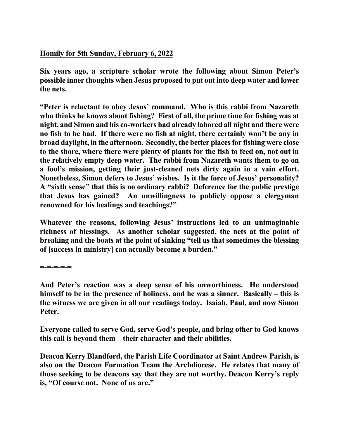## **Homily for 5th Sunday, February 6, 2022**

**Six years ago, a scripture scholar wrote the following about Simon Peter's possible inner thoughts when Jesus proposed to put out into deep water and lower the nets.**

**"Peter is reluctant to obey Jesus' command. Who is this rabbi from Nazareth who thinks he knows about fishing? First of all, the prime time for fishing was at night, and Simon and his co-workers had already labored all night and there were no fish to be had. If there were no fish at night, there certainly won't be any in broad daylight, in the afternoon. Secondly, the better places for fishing were close to the shore, where there were plenty of plants for the fish to feed on, not out in the relatively empty deep water. The rabbi from Nazareth wants them to go on a fool's mission, getting their just-cleaned nets dirty again in a vain effort. Nonetheless, Simon defers to Jesus' wishes. Is it the force of Jesus' personality? A "sixth sense" that this is no ordinary rabbi? Deference for the public prestige that Jesus has gained? An unwillingness to publicly oppose a clergyman renowned for his healings and teachings?"** 

**Whatever the reasons, following Jesus' instructions led to an unimaginable richness of blessings. As another scholar suggested, the nets at the point of breaking and the boats at the point of sinking "tell us that sometimes the blessing of [success in ministry] can actually become a burden."** 

**=-=-=-=-=** 

**And Peter's reaction was a deep sense of his unworthiness. He understood himself to be in the presence of holiness, and he was a sinner. Basically – this is the witness we are given in all our readings today. Isaiah, Paul, and now Simon Peter.** 

**Everyone called to serve God, serve God's people, and bring other to God knows this call is beyond them – their character and their abilities.** 

**Deacon Kerry Blandford, the Parish Life Coordinator at Saint Andrew Parish, is also on the Deacon Formation Team the Archdiocese. He relates that many of those seeking to be deacons say that they are not worthy. Deacon Kerry's reply is, "Of course not. None of us are."**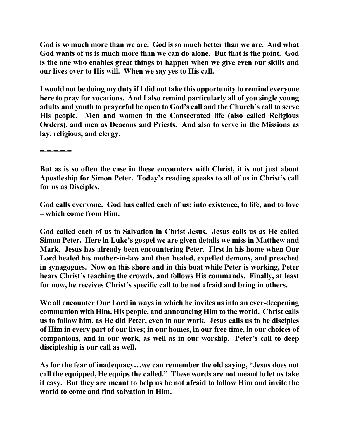**God is so much more than we are. God is so much better than we are. And what God wants of us is much more than we can do alone. But that is the point. God is the one who enables great things to happen when we give even our skills and our lives over to His will. When we say yes to His call.** 

**I would not be doing my duty if I did not take this opportunity to remind everyone here to pray for vocations. And I also remind particularly all of you single young adults and youth to prayerful be open to God's call and the Church's call to serve His people. Men and women in the Consecrated life (also called Religious Orders), and men as Deacons and Priests. And also to serve in the Missions as lay, religious, and clergy.** 

**=-=-=-=-=** 

**But as is so often the case in these encounters with Christ, it is not just about Apostleship for Simon Peter. Today's reading speaks to all of us in Christ's call for us as Disciples.** 

**God calls everyone. God has called each of us; into existence, to life, and to love – which come from Him.**

**God called each of us to Salvation in Christ Jesus. Jesus calls us as He called Simon Peter. Here in Luke's gospel we are given details we miss in Matthew and Mark. Jesus has already been encountering Peter. First in his home when Our Lord healed his mother-in-law and then healed, expelled demons, and preached in synagogues. Now on this shore and in this boat while Peter is working, Peter hears Christ's teaching the crowds, and follows His commands. Finally, at least for now, he receives Christ's specific call to be not afraid and bring in others.** 

**We all encounter Our Lord in ways in which he invites us into an ever-deepening communion with Him, His people, and announcing Him to the world. Christ calls us to follow him, as He did Peter, even in our work. Jesus calls us to be disciples of Him in every part of our lives; in our homes, in our free time, in our choices of companions, and in our work, as well as in our worship. Peter's call to deep discipleship is our call as well.** 

**As for the fear of inadequacy…we can remember the old saying, "Jesus does not call the equipped, He equips the called." These words are not meant to let us take it easy. But they are meant to help us be not afraid to follow Him and invite the world to come and find salvation in Him.**